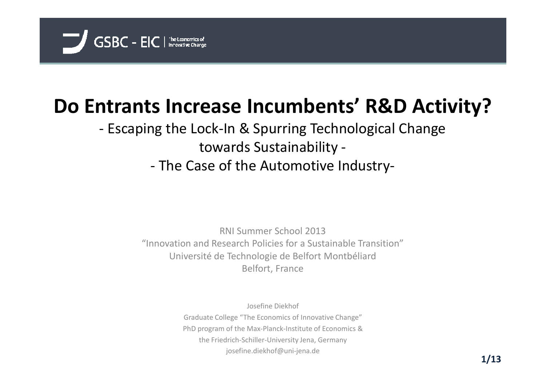

# **Do Entrants Increase Incumbents' R&D Activity?**

# - Escaping the Lock-In & Spurring Technological Change towards Sustainability -The Case of the Automotive Industry-

RNI Summer School 2013 "Innovation and Research Policies for a Sustainable Transition" Université de Technologie de Belfort MontbéliardBelfort, France

Josefine DiekhofGraduate College "The Economics of Innovative Change"PhD program of the Max-Planck-Institute of Economics &the Friedrich-Schiller-University Jena, Germanyjosefine.diekhof@uni-jena.de **1/13**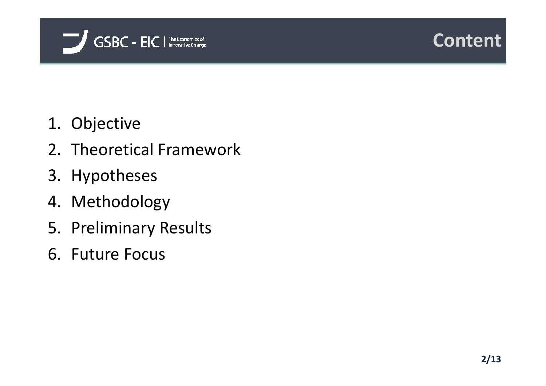



- 1. Objective
- 2. Theoretical Framework
- 3. Hypotheses
- 4. Methodology
- 5. Preliminary Results
- 6. Future Focus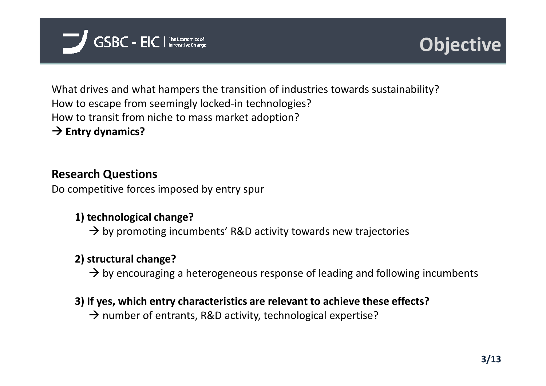



What drives and what hampers the transition of industries towards sustainability?How to escape from seemingly locked-in technologies?How to transit from niche to mass market adoption?**→ Entry dynamics?** 

# **Research Questions**

Do competitive forces imposed by entry spur

# **1) technological change?**

 $\rightarrow$  by promoting incumbents' R&D activity towards new trajectories

# **2) structural change?**

 $\rightarrow$  by encouraging a heterogeneous response of leading and following incumbents

#### **3) If yes, which entry characteristics are relevant to achieve these effects?**

 $\rightarrow$  number of entrants, R&D activity, technological expertise?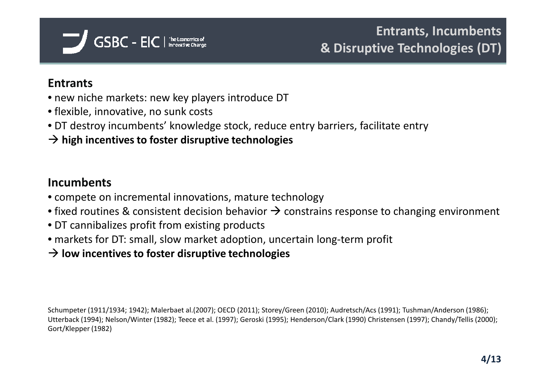

# **Entrants**

- new niche markets: new key players introduce DT
- flexible, innovative, no sunk costs
- DT destroy incumbents' knowledge stock, reduce entry barriers, facilitate entry
- **high incentives to foster disruptive technologies**

# **Incumbents**

- compete on incremental innovations, mature technology
- fixed routines & consistent decision behavior  $\rightarrow$  constrains response to changing environment<br>• DT cannibalizes profit from existing products
- DT cannibalizes profit from existing products
- markets for DT: small, slow market adoption, uncertain long-term profit
- $\rightarrow$  **low incentives to foster disruptive technologies**

Schumpeter (1911/1934; 1942); Malerbaet al.(2007); OECD (2011); Storey/Green (2010); Audretsch/Acs (1991); Tushman/Anderson (1986); Utterback (1994); Nelson/Winter (1982); Teece et al. (1997); Geroski (1995); Henderson/Clark (1990) Christensen (1997); Chandy/Tellis (2000); Gort/Klepper (1982)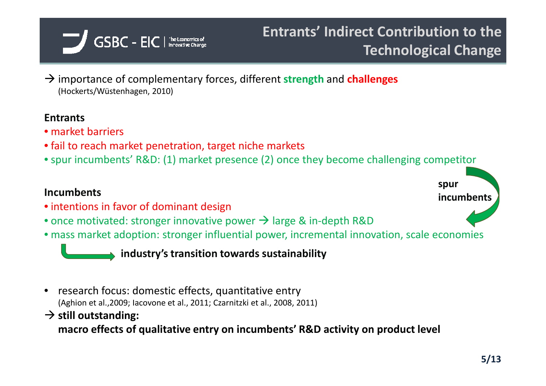

 importance of complementary forces, different **strength** and **challenges** (Hockerts/Wüstenhagen, 2010)

### **Entrants**

- market barriers
- fail to reach market penetration, target niche markets
- spur incumbents' R&D: (1) market presence (2) once they become challenging competitor

# **Incumbents**

- intentions in favor of dominant design
- once motivated: stronger innovative power  $\rightarrow$  large & in-depth R&D<br>• mass market adoption: stronger influential power, incremental innov
- mass market adoption: stronger influential power, incremental innovation, scale economies

**industry's transition towards sustainability**

- • research focus: domestic effects, quantitative entry (Aghion et al.,2009; Iacovone et al., 2011; Czarnitzki et al., 2008, 2011)
- **still outstanding: macro effects of qualitative entry on incumbents' R&D activity on product level**

**5/132**

**spur** 

**incumbents**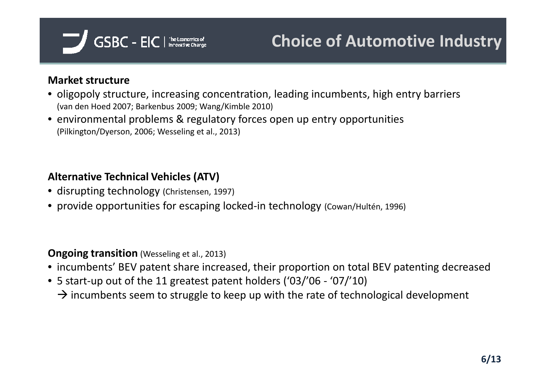

#### **Market structure**

- oligopoly structure, increasing concentration, leading incumbents, high entry barriers (van den Hoed 2007; Barkenbus 2009; Wang/Kimble 2010)
- environmental problems & regulatory forces open up entry opportunities (Pilkington/Dyerson, 2006; Wesseling et al., 2013)

### **Alternative Technical Vehicles (ATV)**

- disrupting technology (Christensen, 1997)
- provide opportunities for escaping locked-in technology (Cowan/Hultén, 1996)

#### **Ongoing transition** (Wesseling et al., 2013)

- incumbents' BEV patent share increased, their proportion on total BEV patenting decreased
- 5 start-up out of the 11 greatest patent holders ('03/'06 '07/'10)
	- $\rightarrow$  incumbents seem to struggle to keep up with the rate of technological development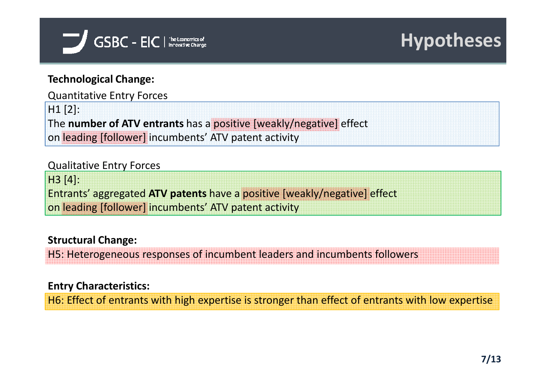

# **Technological Change:**

Quantitative Entry Forces

H1 [2]:

The **number of ATV entrants** has a positive [weakly/negative] effect

on leading [follower] incumbents' ATV patent activity

#### Qualitative Entry Forces

H3 [4]:Entrants' aggregated **ATV patents** have a positive [weakly/negative] effect on leading [follower] incumbents' ATV patent activity

# **Structural Change:**

H5: Heterogeneous responses of incumbent leaders and incumbents followers

# **Entry Characteristics:**

H6: Effect of entrants with high expertise is stronger than effect of entrants with low expertise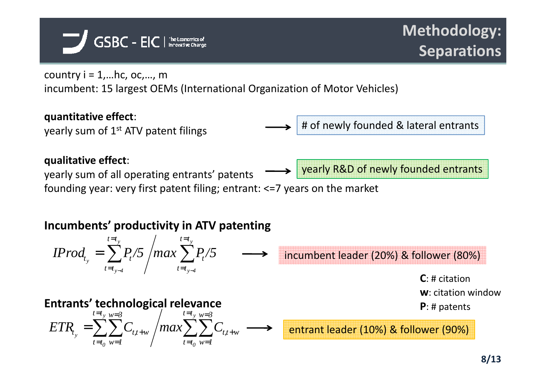

country  $i = 1$ ..., hc, oc,..., m incumbent: 15 largest OEMs (International Organization of Motor Vehicles)

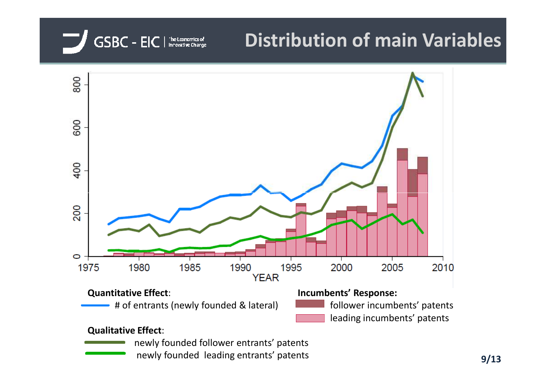

04/10/2013

# **Distribution of main Variables**



newly founded leading entrants' patents **Example 2012** and Solid 2013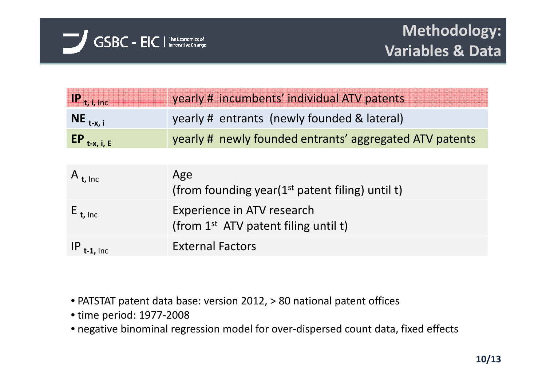

| $\mathbf{P}_{t,i,inc}$ | yearly # incumbents' individual ATV patents             |
|------------------------|---------------------------------------------------------|
| $NE_{t-x, i}$          | yearly # entrants (newly founded & lateral)             |
| $EP_{t-x, i, E}$       | yearly # newly founded entrants' aggregated ATV patents |

| A $_{t, \, \text{inc}}$ | Age<br>(from founding year( $1st$ patent filing) until t)                      |
|-------------------------|--------------------------------------------------------------------------------|
| $E_{t, Inc}$            | Experience in ATV research<br>(from 1 <sup>st</sup> ATV patent filing until t) |
| $IP_{t-1, \text{Inc}}$  | <b>External Factors</b>                                                        |

- PATSTAT patent data base: version 2012, > 80 national patent offices
- time period: 1977-2008
- negative binominal regression model for over-dispersed count data, fixed effects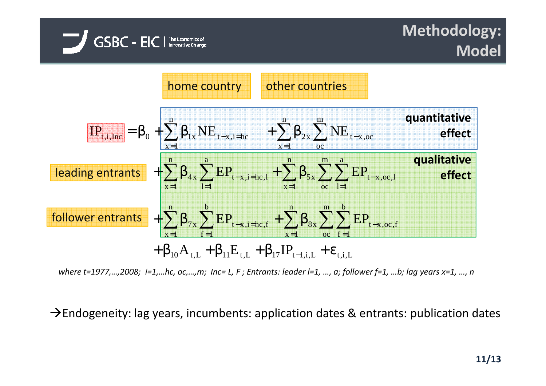# **Methodology: Model**



 $GSBC - EIC$  | The Leonorries of

*where t=1977,…,2008; i=1,…hc, oc,…,m; Inc= L, F ; Entrants: leader l=1, …, a; follower f=1, …b; lag years x=1, …, n*

 $\rightarrow$  Endogeneity: lag years, incumbents: application dates & entrants: publication dates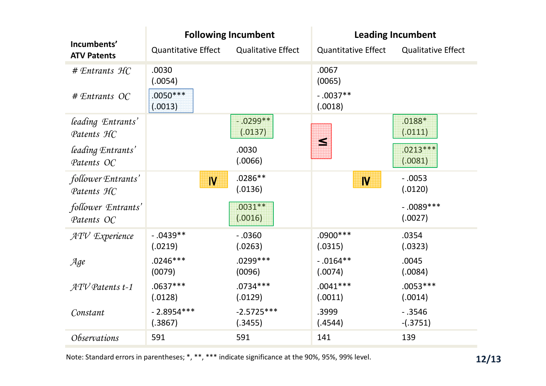|                                    |                                | <b>Following Incumbent</b> | <b>Leading Incumbent</b>      |                           |  |  |
|------------------------------------|--------------------------------|----------------------------|-------------------------------|---------------------------|--|--|
| Incumbents'<br><b>ATV Patents</b>  | <b>Quantitative Effect</b>     | <b>Qualitative Effect</b>  | <b>Quantitative Effect</b>    | <b>Qualitative Effect</b> |  |  |
| $#$ Entrants $HC$<br># Entrants OC | .0030<br>(.0054)<br>$.0050***$ |                            | .0067<br>(0065)<br>$-0.037**$ |                           |  |  |
|                                    | (.0013)                        |                            | (.0018)                       |                           |  |  |
| leading Entrants'<br>Patents HC    |                                | $-.0299**$<br>(.0137)      | $\leq$                        | $.0188*$<br>(.0111)       |  |  |
| leading Entrants'<br>Patents OC    |                                | .0030<br>(.0066)           |                               | $.0213***$<br>(.0081)     |  |  |
| follower Entrants'<br>Patents HC   | IV                             | $.0286**$<br>(.0136)       | $\mathsf{N}\,$                | $-0.053$<br>(.0120)       |  |  |
| follower Entrants'<br>Patents OC   |                                | $.0031**$<br>(.0016)       |                               | $-0.089***$<br>(.0027)    |  |  |
| $ATV$ Experience                   | $-0.0439**$<br>(.0219)         | $-0.0360$<br>(.0263)       | $.0900***$<br>(.0315)         | .0354<br>(.0323)          |  |  |
| Age                                | $.0246***$<br>(0079)           | $.0299***$<br>(0096)       | $-0.0164**$<br>(.0074)        | .0045<br>(.0084)          |  |  |
| $ATV$ Patents t-1                  | $.0637***$<br>(.0128)          | $.0734***$<br>(.0129)      | $.0041***$<br>(.0011)         | $.0053***$<br>(.0014)     |  |  |
| Constant                           | $-2.8954***$<br>(.3867)        | $-2.5725***$<br>(.3455)    | .3999<br>(.4544)              | $-0.3546$<br>$-(.3751)$   |  |  |
| <i><b>Observations</b></i>         | 591                            | 591                        | 141                           | 139                       |  |  |

Note: Standard errors in parentheses; \*, \*\*, \*\*\* indicate significance at the 90%, 95%, 99% level. **12/13**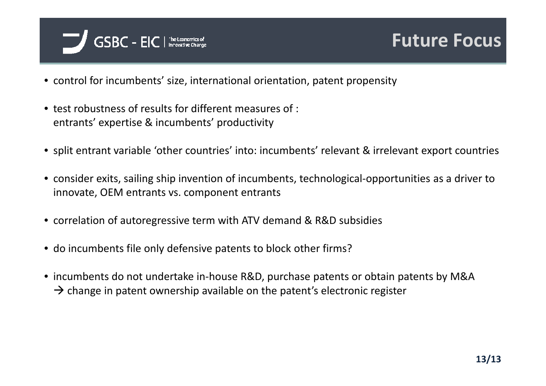

- control for incumbents' size, international orientation, patent propensity
- test robustness of results for different measures of : entrants' expertise & incumbents' productivity
- split entrant variable 'other countries' into: incumbents' relevant & irrelevant export countries
- consider exits, sailing ship invention of incumbents, technological-opportunities as a driver to innovate, OEM entrants vs. component entrants
- correlation of autoregressive term with ATV demand & R&D subsidies
- do incumbents file only defensive patents to block other firms?
- incumbents do not undertake in-house R&D, purchase patents or obtain patents by M&A $\rightarrow$  change in patent ownership available on the patent's electronic register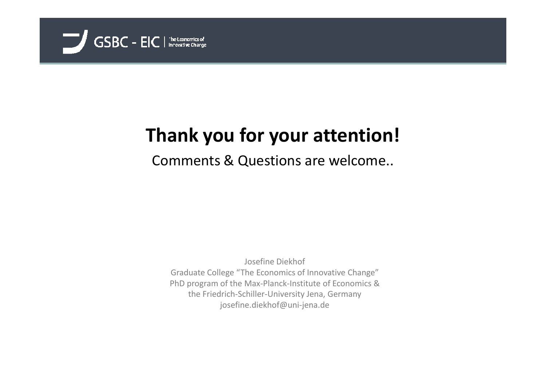

# **Thank you for your attention!**

Comments & Questions are welcome..

Josefine Diekhof Graduate College "The Economics of Innovative Change" PhD program of the Max-Planck-Institute of Economics &the Friedrich-Schiller-University Jena, Germanyjosefine.diekhof@uni-jena.de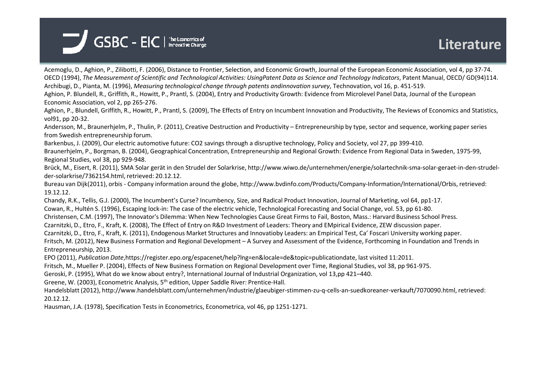

Acemoglu, D., Aghion, P., Zilibotti, F. (2006), Distance to Frontier, Selection, and Economic Growth, Journal of the European Economic Association, vol 4, pp 37-74.OECD (1994), *The Measurement of Scientific and Technological Activities: UsingPatent Data as Science and Technology Indicators*, Patent Manual, OECD/ GD(94)114. Archibugi, D., Pianta, M. (1996), *Measuring technological change through patents andinnovation survey*, Technovation, vol 16, p. 451-519.

Aghion, P. Blundell, R., Griffith, R., Howitt, P., Prantl, S. (2004), Entry and Productivity Growth: Evidence from Microlevel Panel Data, Journal of the European Economic Association, vol 2, pp 265-276.

Aghion, P., Blundell, Griffith, R., Howitt, P., Prantl, S. (2009), The Effects of Entry on Incumbent Innovation and Productivity, The Reviews of Economics and Statistics, vol91, pp 20-32.

Andersson, M., Braunerhjelm, P., Thulin, P. (2011), Creative Destruction and Productivity – Entrepreneurship by type, sector and sequence, working paper series from Swedish entrepreneurship forum.

Barkenbus, J. (2009), Our electric automotive future: CO2 savings through a disruptive technology, Policy and Society, vol 27, pp 399-410.

 Braunerhjelm, P., Borgman, B. (2004), Geographical Concentration, Entrepreneurship and Regional Growth: Evidence From Regional Data in Sweden, 1975-99, Regional Studies, vol 38, pp 929-948.

Brück, M., Eisert, R. (2011), SMA Solar gerät in den Strudel der Solarkrise, http://www.wiwo.de/unternehmen/energie/solartechnik-sma-solar-geraet-in-den-strudelder-solarkrise/7362154.html, retrieved: 20.12.12.

 Bureau van Dijk(2011), orbis - Company information around the globe, http://www.bvdinfo.com/Products/Company-Information/International/Orbis, retrieved: 19.12.12.

Chandy, R.K., Tellis, G.J. (2000), The Incumbent's Curse? Incumbency, Size, and Radical Product Innovation, Journal of Marketing, vol 64, pp1-17.

Cowan, R., Hultén S. (1996), Escaping lock-in: The case of the electric vehicle, Technological Forecasting and Social Change, vol. 53, pp 61-80.

Christensen, C.M. (1997), The Innovator's Dilemma: When New Technologies Cause Great Firms to Fail, Boston, Mass.: Harvard Business School Press.

Czarnitzki, D., Etro, F., Kraft, K. (2008), The Effect of Entry on R&D Investment of Leaders: Theory and EMpirical Evidence, ZEW discussion paper.

Czarnitzki, D., Etro, F., Kraft, K. (2011), Endogenous Market Structures and Innovatioby Leaders: an Empirical Test, Ca' Foscari University working paper.

Fritsch, M. (2012), New Business Formation and Regional Development – A Survey and Assessment of the Evidence, Forthcoming in Foundation and Trends in Entrepreneurship, 2013.

EPO (2011), *Publication Date*,https://register.epo.org/espacenet/help?lng=en&locale=de&topic=publicationdate, last visited 11:2011.

Fritsch, M., Mueller P. (2004), Effects of New Business Formation on Regional Development over Time, Regional Studies, vol 38, pp 961-975.

Geroski, P. (1995), What do we know about entry?, International Journal of Industrial Organization, vol 13,pp 421–440.

Greene, W. (2003), Econometric Analysis, 5th edition, Upper Saddle River: Prentice-Hall.

Handelsblatt (2012), http://www.handelsblatt.com/unternehmen/industrie/glaeubiger-stimmen-zu-q-cells-an-suedkoreaner-verkauft/7070090.html, retrieved: 20.12.12.

Hausman, J.A. (1978), Specification Tests in Econometrics, Econometrica, vol 46, pp 1251-1271.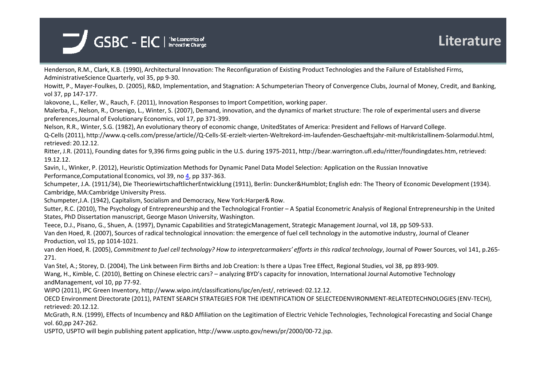

Henderson, R.M., Clark, K.B. (1990), Architectural Innovation: The Reconfiguration of Existing Product Technologies and the Failure of Established Firms, AdministrativeScience Quarterly, vol 35, pp 9-30.

Howitt, P., Mayer-Foulkes, D. (2005), R&D, Implementation, and Stagnation: A Schumpeterian Theory of Convergence Clubs, Journal of Money, Credit, and Banking, vol 37, pp 147-177.

Iakovone, L., Keller, W., Rauch, F. (2011), Innovation Responses to Import Competition, working paper.

 Malerba, F., Nelson, R., Orsenigo, L., Winter, S. (2007), Demand, innovation, and the dynamics of market structure: The role of experimental users and diversepreferences,Journal of Evolutionary Economics, vol 17, pp 371-399.

Nelson, R.R., Winter, S.G. (1982), An evolutionary theory of economic change, UnitedStates of America: President and Fellows of Harvard College.

Q-Cells (2011), http://www.q-cells.com/presse/article//Q-Cells-SE-erzielt-vierten-Weltrekord-im-laufenden-Geschaeftsjahr-mit-multikristallinem-Solarmodul.html, retrieved: 20.12.12.

Ritter, J.R. (2011), Founding dates for 9,396 firms going public in the U.S. during 1975-2011, http://bear.warrington.ufl.edu/ritter/foundingdates.htm, retrieved: 19.12.12.

Savin, I., Winker, P. (2012), Heuristic Optimization Methods for Dynamic Panel Data Model Selection: Application on the Russian Innovative Performance,Computational Economics, vol 39, no 4, pp 337-363.

Schumpeter, J.A. (1911/34), Die TheoriewirtschaftlicherEntwicklung (1911), Berlin: Duncker&Humblot; English edn: The Theory of Economic Development (1934). Cambridge, MA:Cambridge University Press.

Schumpeter,J.A. (1942), Capitalism, Socialism and Democracy, New York:Harper& Row.

Sutter, R.C. (2010), The Psychology of Entrepreneurship and the Technological Frontier – A Spatial Econometric Analysis of Regional Entrepreneurship in the United States, PhD Dissertation manuscript, George Mason University, Washington.

Teece, D.J., Pisano, G., Shuen, A. (1997), Dynamic Capabilities and StrategicManagement, Strategic Management Journal, vol 18, pp 509-533.

Van den Hoed, R. (2007), Sources of radical technological innovation: the emergence of fuel cell technology in the automotive industry, Journal of Cleaner Production, vol 15, pp 1014-1021.

van den Hoed, R. (2005), *Commitment to fuel cell technology? How to interpretcarmakers' efforts in this radical technology*, Journal of Power Sources, vol 141, p.265-271.

Van Stel, A.; Storey, D. (2004), The Link between Firm Births and Job Creation: Is there a Upas Tree Effect, Regional Studies, vol 38, pp 893-909. Wang, H., Kimble, C. (2010), Betting on Chinese electric cars? – analyzing BYD's capacity for innovation, International Journal Automotive Technology andManagement, vol 10, pp 77-92.

WIPO (2011), IPC Green Inventory, http://www.wipo.int/classifications/ipc/en/est/, retrieved: 02.12.12.

OECD Environment Directorate (2011), PATENT SEARCH STRATEGIES FOR THE IDENTIFICATION OF SELECTEDENVIRONMENT-RELATEDTECHNOLOGIES (ENV-TECH), retrieved: 20.12.12.

 McGrath, R.N. (1999), Effects of Incumbency and R&D Affiliation on the Legitimation of Electric Vehicle Technologies, Technological Forecasting and Social Change vol. 60,pp 247-262.

USPTO, USPTO will begin publishing patent application, http://www.uspto.gov/news/pr/2000/00-72.jsp.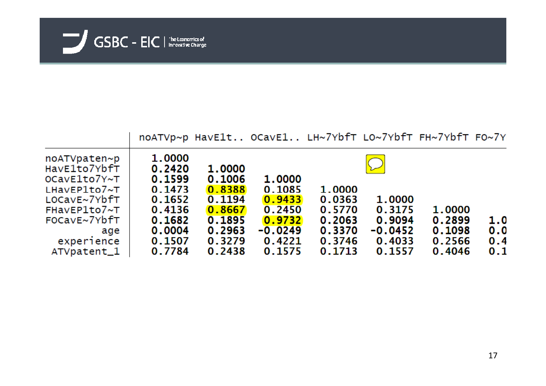

|                         | noATVp~p HavE1t OCavE1 LH~7YbfT LO~7YbfT FH~7YbfT FO~7Y |        |           |        |           |        |     |
|-------------------------|---------------------------------------------------------|--------|-----------|--------|-----------|--------|-----|
| noATVpaten~p            | 1.0000                                                  |        |           |        |           |        |     |
| HavE1to7YbfT            | 0.2420                                                  | 1.0000 |           |        |           |        |     |
| OCavE1to7Y~T            | 0.1599                                                  | 0.1006 | 1,0000    |        |           |        |     |
| $L$ HavEP $1$ to $7$ ~T | 0.1473                                                  | 0.8388 | 0.1085    | 1,0000 |           |        |     |
| LOCavE~7YbfT            | 0.1652                                                  | 0.1194 | 0.9433    | 0.0363 | 1.0000    |        |     |
| FHavEP1to7~T            | 0.4136                                                  | 0.8667 | 0.2450    | 0.5770 | 0.3175    | 1.0000 |     |
| FOCavE~7YbfT            | 0.1682                                                  | 0.1895 | 0.9732    | 0.2063 | 0.9094    | 0.2899 | 1.0 |
| age                     | 0.0004                                                  | 0.2963 | $-0.0249$ | 0.3370 | $-0.0452$ | 0.1098 | 0.0 |
| experience              | 0.1507                                                  | 0.3279 | 0.4221    | 0.3746 | 0.4033    | 0.2566 | 0.4 |
| ATVpatent_1             | 0.7784                                                  | 0.2438 | 0.1575    | 0.1713 | 0.1557    | 0.4046 | 0.1 |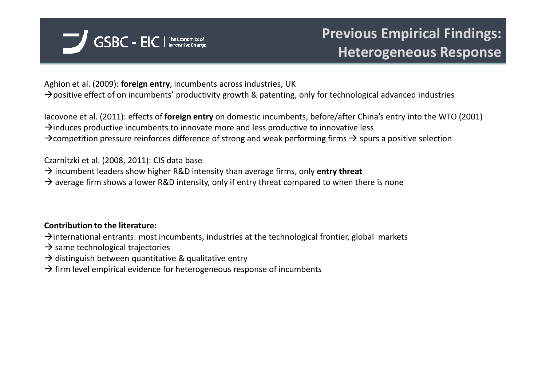

Aghion et al. (2009): **foreign entry**, incumbents across industries, UK $\rightarrow$ positive effect of on incumbents' productivity growth & patenting, only for technological advanced industries

Iacovone et al. (2011): effects of **foreign entry** on domestic incumbents, before/after China's entry into the WTO (2001) $\rightarrow$ induces productive incumbents to innovate more and less productive to innovative less  $\rightarrow$  competition pressure reinforces difference of strong and weak performing firms  $\rightarrow$  spurs a positive selection

Czarnitzki et al. (2008, 2011): CIS data base

→ incumbent leaders show higher R&D intensity than average firms, only **entry threat**<br>→ average firm shows a lower R&D intensity, only if entry threat compared to when th

 $\rightarrow$  average firm shows a lower R&D intensity, only if entry threat compared to when there is none

#### **Contribution to the literature:**

 $\rightarrow$  international entrants: most incumbents, industries at the technological frontier, global markets

- $\rightarrow$  same technological trajectories<br> $\rightarrow$  distinguish between quantitativ
- $\rightarrow$  distinguish between quantitative & qualitative entry<br>  $\rightarrow$  firm level empirical evidence for beterogeneous resr
- $\rightarrow$  firm level empirical evidence for heterogeneous response of incumbents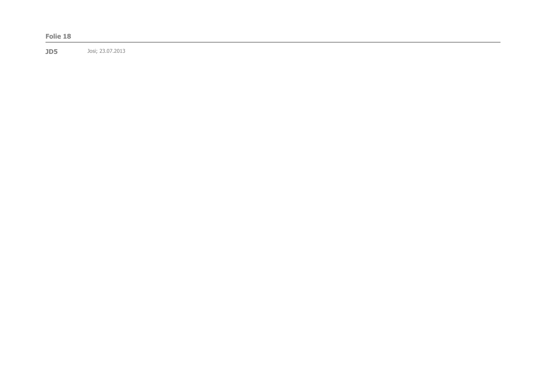|--|--|--|--|--|--|--|

**JD5** Josi; 23.07.2013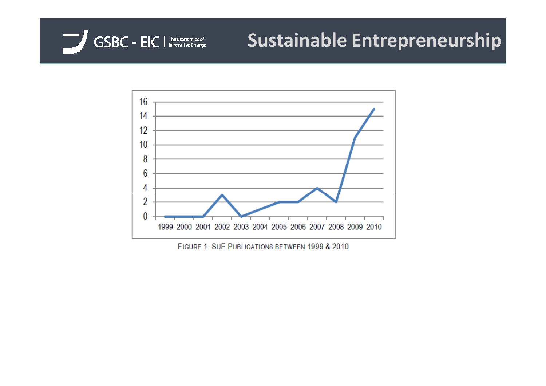

# **Sustainable Entrepreneurship**



FIGURE 1: SUE PUBLICATIONS BETWEEN 1999 & 2010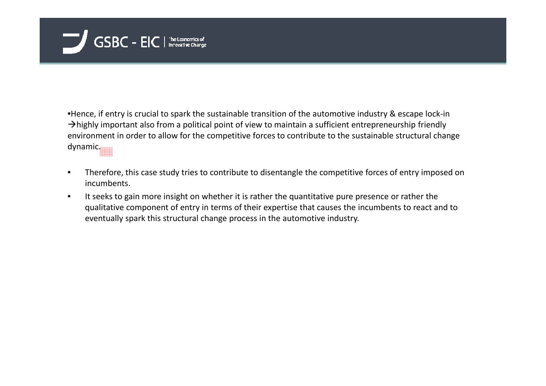

•Hence, if entry is crucial to spark the sustainable transition of the automotive industry & escape lock-in $\rightarrow$ highly important also from a political point of view to maintain a sufficient entrepreneurship friendly environment in order to allow for the competitive forces to contribute to the sustainable structural change dynamic.

- • Therefore, this case study tries to contribute to disentangle the competitive forces of entry imposed on incumbents.
- • It seeks to gain more insight on whether it is rather the quantitative pure presence or rather the qualitative component of entry in terms of their expertise that causes the incumbents to react and to eventually spark this structural change process in the automotive industry.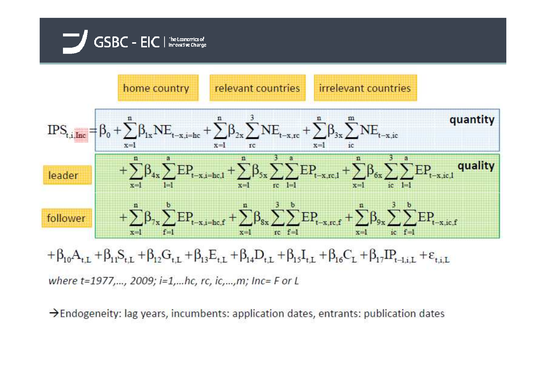



where t=1977,..., 2009; i=1,...hc, rc, ic,...,m; Inc= F or L

 $\rightarrow$  Endogeneity: lag years, incumbents: application dates, entrants: publication dates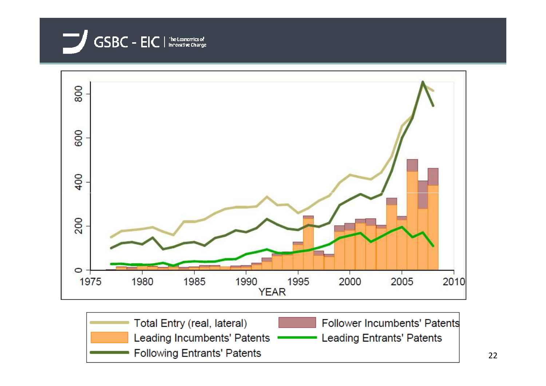![](_page_22_Picture_0.jpeg)

![](_page_22_Figure_1.jpeg)

![](_page_22_Picture_2.jpeg)